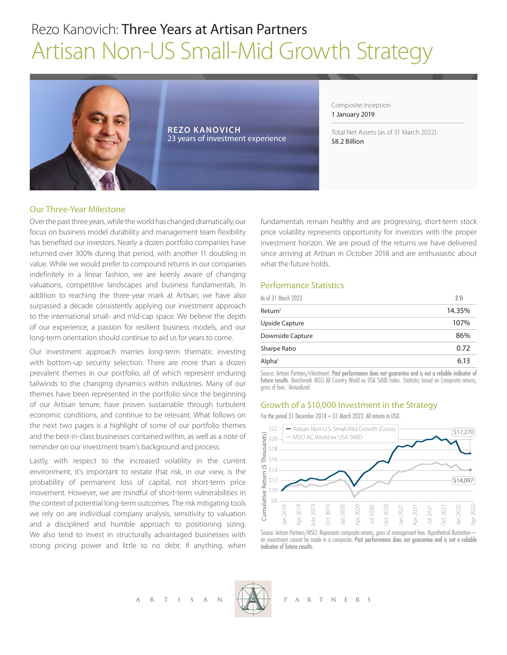# Rezo Kanovich: Three Years at Artisan Partners Artisan Non-US Small-Mid Growth Strategy



**REZO KANOVICH** 23 years of investment experience Composite Inception 1 January 2019

Total Net Assets (as of 31 March 2022) \$8.2 Billion

## Our Three-Year Milestone

Over the past three years, while the world has changed dramatically, our focus on business model durability and management team flexibility has benefited our investors. Nearly a dozen portfolio companies have returned over 300% during that period, with another 11 doubling in value. While we would prefer to compound returns in our companies indefinitely in a linear fashion, we are keenly aware of changing valuations, competitive landscapes and business fundamentals. In addition to reaching the three-year mark at Artisan, we have also surpassed a decade consistently applying our investment approach to the international small- and mid-cap space. We believe the depth of our experience, a passion for resilient business models, and our long-term orientation should continue to aid us for years to come.

Our investment approach marries long-term thematic investing with bottom-up security selection. There are more than a dozen prevalent themes in our portfolio, all of which represent enduring tailwinds to the changing dynamics within industries. Many of our themes have been represented in the portfolio since the beginning of our Artisan tenure, have proven sustainable through turbulent economic conditions, and continue to be relevant. What follows on the next two pages is a highlight of some of our portfolio themes and the best-in-class businesses contained within, as well as a note of reminder on our investment team's background and process.

Lastly, with respect to the increased volatility in the current environment, it's important to restate that risk, in our view, is the probability of permanent loss of capital, not short-term price movement. However, we are mindful of short-term vulnerabilities in the context of potential long-term outcomes. The risk mitigating tools we rely on are individual company analysis, sensitivity to valuation and a disciplined and humble approach to positioning sizing. We also tend to invest in structurally advantaged businesses with strong pricing power and little to no debt. If anything, when

fundamentals remain healthy and are progressing, short-term stock price volatility represents opportunity for investors with the proper investment horizon. We are proud of the returns we have delivered since arriving at Artisan in October 2018 and are enthusiastic about what the future holds.

# Performance Statistics

| As of 31 March 2022 | 3Yr    |
|---------------------|--------|
| Return <sup>1</sup> | 14.35% |
| Upside Capture      | 107%   |
| Downside Capture    | 86%    |
| <b>Sharpe Ratio</b> | 0.72   |
| Alpha <sup>1</sup>  | 6.13   |

Source: Artisan Partners/eVestment. Past performance does not guarantee and is not a reliable indicator of future results. Benchmark MSCI All Country World ex USA SMID Index. Statistics based on Composite returns, gross of fees. 1 Annualized.

## Growth of a \$10,000 Investment in the Strategy

For the period 31 December 2018 – 31 March 2022. All returns in USD.



Source: Artisan Partners/MSCI. Represents composite returns, gross of management fees. Hypothetical illustrationan investment cannot be made in a composite. Past performance does not guarantee and is not a reliable indicator of future results.

A R T I S A N  $\left(\begin{matrix} 1 & 0 & 0 \\ 0 & 0 & 0 \\ 0 & 0 & 0 \end{matrix}\right)$  P A R T N E R S

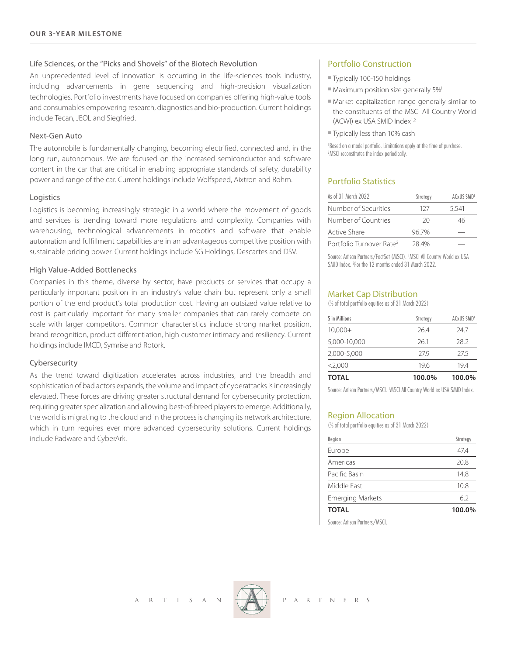## Life Sciences, or the "Picks and Shovels" of the Biotech Revolution

An unprecedented level of innovation is occurring in the life-sciences tools industry, including advancements in gene sequencing and high-precision visualization technologies. Portfolio investments have focused on companies offering high-value tools and consumables empowering research, diagnostics and bio-production. Current holdings include Tecan, JEOL and Siegfried.

## Next-Gen Auto

The automobile is fundamentally changing, becoming electrified, connected and, in the long run, autonomous. We are focused on the increased semiconductor and software content in the car that are critical in enabling appropriate standards of safety, durability power and range of the car. Current holdings include Wolfspeed, Aixtron and Rohm.

#### Logistics

Logistics is becoming increasingly strategic in a world where the movement of goods and services is trending toward more regulations and complexity. Companies with warehousing, technological advancements in robotics and software that enable automation and fulfillment capabilities are in an advantageous competitive position with sustainable pricing power. Current holdings include SG Holdings, Descartes and DSV.

## High Value-Added Bottlenecks

Companies in this theme, diverse by sector, have products or services that occupy a particularly important position in an industry's value chain but represent only a small portion of the end product's total production cost. Having an outsized value relative to cost is particularly important for many smaller companies that can rarely compete on scale with larger competitors. Common characteristics include strong market position, brand recognition, product differentiation, high customer intimacy and resiliency. Current holdings include IMCD, Symrise and Rotork.

## Cybersecurity

As the trend toward digitization accelerates across industries, and the breadth and sophistication of bad actors expands, the volume and impact of cyberattacks is increasingly elevated. These forces are driving greater structural demand for cybersecurity protection, requiring greater specialization and allowing best-of-breed players to emerge. Additionally, the world is migrating to the cloud and in the process is changing its network architecture, which in turn requires ever more advanced cybersecurity solutions. Current holdings include Radware and CyberArk.

## Portfolio Construction

- Typically 100-150 holdings
- $\blacksquare$  Maximum position size generally 5%<sup>1</sup>
- $\blacksquare$  Market capitalization range generally similar to the constituents of the MSCI All Country World (ACWI) ex USA SMID Index<sup>1,2</sup>
- Typically less than 10% cash

1 Based on a model portfolio. Limitations apply at the time of purchase. 2 MSCI reconstitutes the index periodically.

## Portfolio Statistics

| As of 31 March 2022                  | Strategy | ACxUS SMD <sup>1</sup> |  |
|--------------------------------------|----------|------------------------|--|
| Number of Securities                 | 127      | 5.541                  |  |
| Number of Countries                  | 20       | 46                     |  |
| Active Share                         | 96.7%    |                        |  |
| Portfolio Turnover Rate <sup>2</sup> | 28.4%    |                        |  |

Source: Artisan Partners/FactSet (MSCI). 1 MSCI All Country World ex USA SMID Index. 2 For the 12 months ended 31 March 2022.

#### Market Cap Distribution

(% of total portfolio equities as of 31 March 2022)

| S in Millions | Strategy | ACxUS SMD <sup>1</sup> |  |  |
|---------------|----------|------------------------|--|--|
| $10,000+$     | 264      | 247                    |  |  |
| 5,000-10,000  | 261      | 28.2                   |  |  |
| 2.000-5.000   | 279      | 275                    |  |  |
| <2.000        | 196      | 194                    |  |  |
| <b>TOTAL</b>  | 100.0%   | 100.0%                 |  |  |

Source: Artisan Partners/MSCI. 1 MSCI All Country World ex USA SMID Index.

#### Region Allocation

(% of total portfolio equities as of 31 March 2022)

| Region                  | Strategy |  |  |
|-------------------------|----------|--|--|
| Europe                  | 474      |  |  |
| Americas                | 20.8     |  |  |
| Pacific Basin           | 14.8     |  |  |
| Middle Fast             | 10.8     |  |  |
| <b>Emerging Markets</b> | 62       |  |  |
| <b>TOTAL</b>            | 100.0%   |  |  |

Source: Artisan Partners/MSCI.

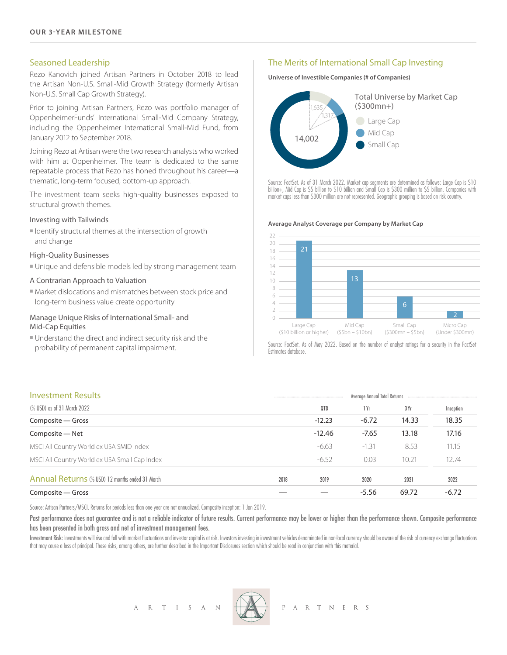#### Seasoned Leadership

Rezo Kanovich joined Artisan Partners in October 2018 to lead the Artisan Non-U.S. Small-Mid Growth Strategy (formerly Artisan Non-U.S. Small Cap Growth Strategy).

Prior to joining Artisan Partners, Rezo was portfolio manager of OppenheimerFunds' International Small-Mid Company Strategy, including the Oppenheimer International Small-Mid Fund, from January 2012 to September 2018.

Joining Rezo at Artisan were the two research analysts who worked with him at Oppenheimer. The team is dedicated to the same repeatable process that Rezo has honed throughout his career—a thematic, long-term focused, bottom-up approach.

The investment team seeks high-quality businesses exposed to structural growth themes.

#### Investing with Tailwinds

 $\blacksquare$  Identify structural themes at the intersection of growth and change

### High-Quality Businesses

<sup>n</sup> Unique and defensible models led by strong management team

#### A Contrarian Approach to Valuation

 $\blacksquare$  Market dislocations and mismatches between stock price and long-term business value create opportunity

#### Manage Unique Risks of International Small- and Mid-Cap Equities

<sup>n</sup> Understand the direct and indirect security risk and the probability of permanent capital impairment.

## The Merits of International Small Cap Investing

**Universe of Investible Companies (# of Companies)**



Source: FactSet. As of 31 March 2022. Market cap segments are determined as follows: Large Cap is \$10 billion+, Mid Cap is \$5 billion to \$10 billion and Small Cap is \$300 million to \$5 billion. Companies with market caps less than \$300 million are not represented. Geographic grouping is based on risk country.

#### **Average Analyst Coverage per Company by Market Cap**



Source: FactSet. As of May 2022. Based on the number of analyst ratings for a security in the FactSet Estimates database.

| Composite - Gross                               |      |                              | $-5.56$ | 69.72 | $-6.72$   |
|-------------------------------------------------|------|------------------------------|---------|-------|-----------|
| Annual Returns (% USD) 12 months ended 31 March | 2018 | 2019                         | 2020    | 2021  | 2022      |
| MSCI All Country World ex USA Small Cap Index   |      | $-6.52$                      | 0.03    | 10.21 | 12.74     |
| MSCI All Country World ex USA SMID Index        |      | $-6.63$                      | $-1.31$ | 8.53  | 11.15     |
| Composite - Net                                 |      | $-12.46$                     | $-7.65$ | 13.18 | 17.16     |
| Composite - Gross                               |      | $-12.23$                     | $-6.72$ | 14.33 | 18.35     |
| (% USD) as of 31 March 2022                     |      | QTD                          | 1 Yr    | 3Yr   | Inception |
| <b>Investment Results</b>                       |      | Average Annual Total Returns |         |       |           |

Source: Artisan Partners/MSCI. Returns for periods less than one year are not annualized. Composite inception: 1 Jan 2019.

Past performance does not guarantee and is not a reliable indicator of future results. Current performance may be lower or higher than the performance shown. Composite performance has been presented in both gross and net of investment management fees.

Investment Risk: Investments will rise and fall with market fluctuations and investor capital is at risk. Investors investment in investment vehicles denominated in non-local currency should be aware of the risk of currenc that may cause a loss of principal. These risks, among others, are further described in the Important Disclosures section which should be read in conjunction with this material.